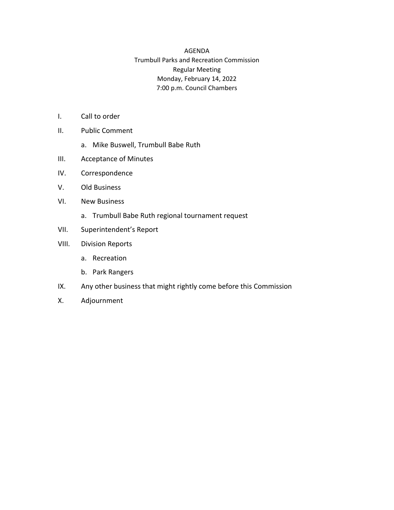## AGENDA Trumbull Parks and Recreation Commission Regular Meeting Monday, February 14, 2022 7:00 p.m. Council Chambers

- I. Call to order
- II. Public Comment
	- a. Mike Buswell, Trumbull Babe Ruth
- III. Acceptance of Minutes
- IV. Correspondence
- V. Old Business
- VI. New Business
	- a. Trumbull Babe Ruth regional tournament request
- VII. Superintendent's Report
- VIII. Division Reports
	- a. Recreation
	- b. Park Rangers
- IX. Any other business that might rightly come before this Commission
- X. Adjournment